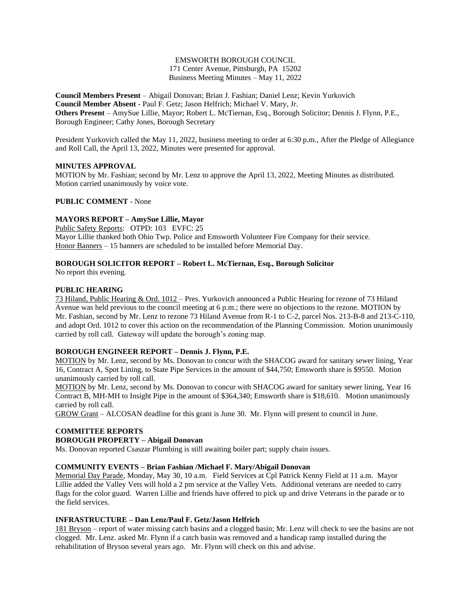## EMSWORTH BOROUGH COUNCIL 171 Center Avenue, Pittsburgh, PA 15202 Business Meeting Minutes – May 11, 2022

**Council Members Present** – Abigail Donovan; Brian J. Fashian; Daniel Lenz; Kevin Yurkovich **Council Member Absent** - Paul F. Getz; Jason Helfrich; Michael V. Mary, Jr. **Others Present** – AmySue Lillie, Mayor; Robert L. McTiernan, Esq., Borough Solicitor; Dennis J. Flynn, P.E., Borough Engineer; Cathy Jones, Borough Secretary

President Yurkovich called the May 11, 2022, business meeting to order at 6:30 p.m., After the Pledge of Allegiance and Roll Call, the April 13, 2022, Minutes were presented for approval.

## **MINUTES APPROVAL**

MOTION by Mr. Fashian; second by Mr. Lenz to approve the April 13, 2022, Meeting Minutes as distributed. Motion carried unanimously by voice vote.

## **PUBLIC COMMENT** - None

# **MAYORS REPORT – AmySue Lillie, Mayor**

Public Safety Reports: OTPD: 103 EVFC: 25 Mayor Lillie thanked both Ohio Twp. Police and Emsworth Volunteer Fire Company for their service. Honor Banners – 15 banners are scheduled to be installed before Memorial Day.

## **BOROUGH SOLICITOR REPORT – Robert L. McTiernan, Esq., Borough Solicitor**

No report this evening.

## **PUBLIC HEARING**

73 Hiland, Public Hearing & Ord. 1012 – Pres. Yurkovich announced a Public Hearing for rezone of 73 Hiland Avenue was held previous to the council meeting at 6 p.m.; there were no objections to the rezone. MOTION by Mr. Fashian, second by Mr. Lenz to rezone 73 Hiland Avenue from R-1 to C-2, parcel Nos. 213-B-8 and 213-C-110, and adopt Ord. 1012 to cover this action on the recommendation of the Planning Commission. Motion unanimously carried by roll call. Gateway will update the borough's zoning map.

### **BOROUGH ENGINEER REPORT – Dennis J. Flynn, P.E.**

MOTION by Mr. Lenz, second by Ms. Donovan to concur with the SHACOG award for sanitary sewer lining, Year 16, Contract A, Spot Lining, to State Pipe Services in the amount of \$44,750; Emsworth share is \$9550. Motion unanimously carried by roll call.

MOTION by Mr. Lenz, second by Ms. Donovan to concur with SHACOG award for sanitary sewer lining, Year 16 Contract B, MH-MH to Insight Pipe in the amount of \$364,340; Emsworth share is \$18,610. Motion unanimously carried by roll call.

GROW Grant – ALCOSAN deadline for this grant is June 30. Mr. Flynn will present to council in June.

# **COMMITTEE REPORTS**

# **BOROUGH PROPERTY – Abigail Donovan**

Ms. Donovan reported Csaszar Plumbing is still awaiting boiler part; supply chain issues.

### **COMMUNITY EVENTS – Brian Fashian /Michael F. Mary/Abigail Donovan**

Memorial Day Parade, Monday, May 30, 10 a.m. Field Services at Cpl Patrick Kenny Field at 11 a.m. Mayor Lillie added the Valley Vets will hold a 2 pm service at the Valley Vets. Additional veterans are needed to carry flags for the color guard. Warren Lillie and friends have offered to pick up and drive Veterans in the parade or to the field services.

# **INFRASTRUCTURE – Dan Lenz/Paul F. Getz/Jason Helfrich**

181 Bryson – report of water missing catch basins and a clogged basin; Mr. Lenz will check to see the basins are not clogged. Mr. Lenz. asked Mr. Flynn if a catch basin was removed and a handicap ramp installed during the rehabilitation of Bryson several years ago. Mr. Flynn will check on this and advise.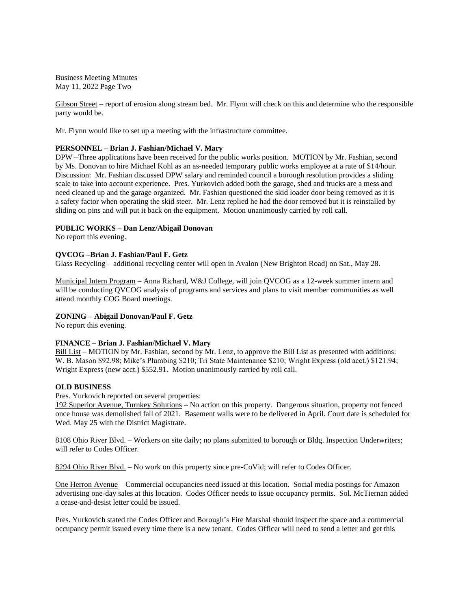Business Meeting Minutes May 11, 2022 Page Two

Gibson Street – report of erosion along stream bed. Mr. Flynn will check on this and determine who the responsible party would be.

Mr. Flynn would like to set up a meeting with the infrastructure committee.

### **PERSONNEL – Brian J. Fashian/Michael V. Mary**

DPW –Three applications have been received for the public works position. MOTION by Mr. Fashian, second by Ms. Donovan to hire Michael Kohl as an as-needed temporary public works employee at a rate of \$14/hour. Discussion: Mr. Fashian discussed DPW salary and reminded council a borough resolution provides a sliding scale to take into account experience. Pres. Yurkovich added both the garage, shed and trucks are a mess and need cleaned up and the garage organized. Mr. Fashian questioned the skid loader door being removed as it is a safety factor when operating the skid steer. Mr. Lenz replied he had the door removed but it is reinstalled by sliding on pins and will put it back on the equipment. Motion unanimously carried by roll call.

### **PUBLIC WORKS – Dan Lenz/Abigail Donovan**

No report this evening.

### **QVCOG –Brian J. Fashian/Paul F. Getz**

Glass Recycling – additional recycling center will open in Avalon (New Brighton Road) on Sat., May 28.

Municipal Intern Program – Anna Richard, W&J College, will join QVCOG as a 12-week summer intern and will be conducting QVCOG analysis of programs and services and plans to visit member communities as well attend monthly COG Board meetings.

## **ZONING – Abigail Donovan/Paul F. Getz**

No report this evening.

### **FINANCE – Brian J. Fashian/Michael V. Mary**

Bill List – MOTION by Mr. Fashian, second by Mr. Lenz, to approve the Bill List as presented with additions: W. B. Mason \$92.98; Mike's Plumbing \$210; Tri State Maintenance \$210; Wright Express (old acct.) \$121.94; Wright Express (new acct.) \$552.91. Motion unanimously carried by roll call.

### **OLD BUSINESS**

Pres. Yurkovich reported on several properties:

192 Superior Avenue, Turnkey Solutions – No action on this property. Dangerous situation, property not fenced once house was demolished fall of 2021. Basement walls were to be delivered in April. Court date is scheduled for Wed. May 25 with the District Magistrate.

8108 Ohio River Blvd. – Workers on site daily; no plans submitted to borough or Bldg. Inspection Underwriters; will refer to Codes Officer.

8294 Ohio River Blvd. – No work on this property since pre-CoVid; will refer to Codes Officer.

One Herron Avenue – Commercial occupancies need issued at this location. Social media postings for Amazon advertising one-day sales at this location. Codes Officer needs to issue occupancy permits. Sol. McTiernan added a cease-and-desist letter could be issued.

Pres. Yurkovich stated the Codes Officer and Borough's Fire Marshal should inspect the space and a commercial occupancy permit issued every time there is a new tenant. Codes Officer will need to send a letter and get this